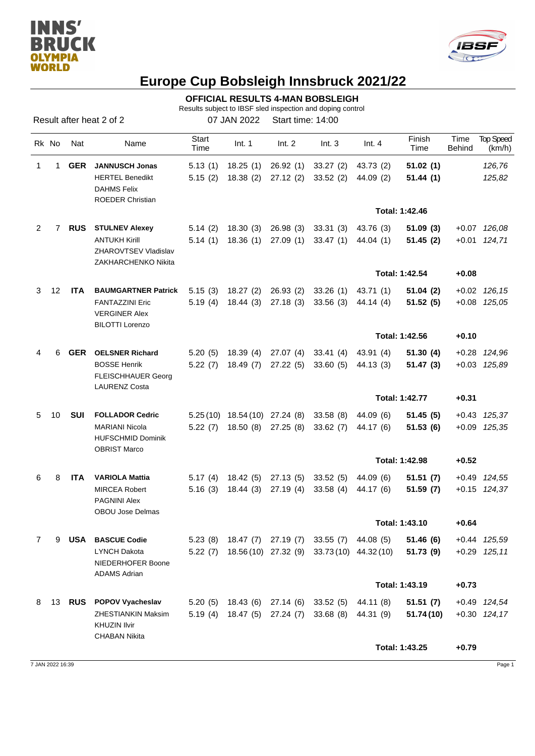



## **Europe Cup Bobsleigh Innsbruck 2021/22**

**OFFICIAL RESULTS 4-MAN BOBSLEIGH**

Results subject to IBSF sled inspection and doping control

Result after heat 2 of 2 07 JAN 2022 Start time: 14:00

|   | Rk No | Nat        | Name                                                                     | Start<br>Time | Int. 1                         | Int. 2    | Int.3                                               | Int.4                  | Finish<br>Time | Time<br><b>Behind</b> | <b>Top Speed</b><br>(km/h) |
|---|-------|------------|--------------------------------------------------------------------------|---------------|--------------------------------|-----------|-----------------------------------------------------|------------------------|----------------|-----------------------|----------------------------|
|   | 1     | <b>GER</b> | <b>JANNUSCH Jonas</b>                                                    | 5.13(1)       | 18.25(1)                       | 26.92(1)  | 33.27(2)                                            | 43.73 (2)              | 51.02(1)       |                       | 126,76                     |
|   |       |            | <b>HERTEL Benedikt</b><br><b>DAHMS Felix</b>                             | 5.15(2)       | 18.38(2)                       | 27.12(2)  | 33.52(2)                                            | 44.09 (2)              | 51.44(1)       |                       | 125,82                     |
|   |       |            | <b>ROEDER Christian</b>                                                  |               |                                |           |                                                     |                        | Total: 1:42.46 |                       |                            |
| 2 | 7     | <b>RUS</b> | <b>STULNEV Alexey</b>                                                    | 5.14(2)       | 18.30(3)                       | 26.98 (3) | 33.31(3)                                            | 43.76 (3)              | 51.09(3)       |                       | $+0.07$ 126,08             |
|   |       |            | <b>ANTUKH Kirill</b><br>ZHAROVTSEV Vladislav<br>ZAKHARCHENKO Nikita      | 5.14(1)       | 18.36 (1)                      | 27.09 (1) | 33.47(1)                                            | 44.04 (1)              | 51.45(2)       |                       | $+0.01$ 124,71             |
|   |       |            |                                                                          |               |                                |           |                                                     |                        | Total: 1:42.54 | $+0.08$               |                            |
| 3 | 12    | <b>ITA</b> | <b>BAUMGARTNER Patrick</b>                                               | 5.15(3)       | 18.27(2)                       | 26.93 (2) | 33.26(1)                                            | 43.71 (1)              | 51.04(2)       |                       | $+0.02$ 126, 15            |
|   |       |            | <b>FANTAZZINI Eric</b><br><b>VERGINER Alex</b><br><b>BILOTTI Lorenzo</b> | 5.19(4)       | 18.44 (3)                      | 27.18 (3) | 33.56(3)                                            | 44.14 (4)              | 51.52(5)       |                       | $+0.08$ $125,05$           |
|   |       |            |                                                                          |               |                                |           |                                                     |                        | Total: 1:42.56 | $+0.10$               |                            |
| 4 | 6     | <b>GER</b> | <b>OELSNER Richard</b>                                                   | 5.20(5)       | 18.39(4)                       | 27.07 (4) | 33.41(4)                                            | 43.91 (4)              | 51.30(4)       |                       | +0.28 124,96               |
|   |       |            | <b>BOSSE Henrik</b><br><b>FLEISCHHAUER Georg</b><br><b>LAURENZ Costa</b> | 5.22(7)       | 18.49 (7)                      | 27.22 (5) | 33.60(5)                                            | 44.13 (3)              | 51.47(3)       |                       | +0.03 125,89               |
|   |       |            |                                                                          |               |                                |           |                                                     |                        | Total: 1:42.77 | $+0.31$               |                            |
| 5 | 10    | <b>SUI</b> | <b>FOLLADOR Cedric</b>                                                   |               | 5.25 (10) 18.54 (10) 27.24 (8) |           | 33.58(8)                                            | 44.09 (6)              | 51.45(5)       |                       | $+0.43$ $125.37$           |
|   |       |            | <b>MARIANI Nicola</b><br><b>HUFSCHMID Dominik</b><br><b>OBRIST Marco</b> | 5.22(7)       | 18.50 (8)                      | 27.25 (8) | 33.62(7)                                            | 44.17 (6)              | 51.53(6)       |                       | +0.09 125,35               |
|   |       |            |                                                                          |               |                                |           |                                                     |                        | Total: 1:42.98 | $+0.52$               |                            |
| 6 | 8     | <b>ITA</b> | <b>VARIOLA Mattia</b>                                                    | 5.17(4)       | 18.42 (5)                      | 27.13 (5) | 33.52 (5)                                           | 44.09 (6)              | 51.51(7)       |                       | +0.49 124,55               |
|   |       |            | <b>MIRCEA Robert</b><br><b>PAGNINI Alex</b><br>OBOU Jose Delmas          | 5.16(3)       | 18.44 (3)                      | 27.19 (4) | 33.58(4)                                            | 44.17 (6)              | 51.59(7)       |                       | +0.15 124,37               |
|   |       |            |                                                                          |               |                                |           |                                                     |                        | Total: 1:43.10 | $+0.64$               |                            |
| 7 | 9     |            | <b>USA</b> BASCUE Codie                                                  |               |                                |           | 5.23 (8) 18.47 (7) 27.19 (7) 33.55 (7) 44.08 (5)    |                        | 51.46(6)       |                       | $+0.44$ $125.59$           |
|   |       |            | <b>LYNCH Dakota</b><br>NIEDERHOFER Boone                                 |               |                                |           | 5.22 (7) 18.56 (10) 27.32 (9) 33.73 (10) 44.32 (10) |                        | 51.73(9)       |                       | $+0.29$ 125,11             |
|   |       |            | <b>ADAMS Adrian</b>                                                      |               |                                |           |                                                     |                        | Total: 1:43.19 | $+0.73$               |                            |
|   | 8 13  | RUS        | <b>POPOV Vyacheslav</b>                                                  |               |                                |           | 5.20 (5) 18.43 (6) 27.14 (6) 33.52 (5)              |                        | 51.51(7)       |                       | +0.49 124,54               |
|   |       |            | <b>ZHESTIANKIN Maksim</b>                                                |               | 5.19 (4) 18.47 (5) 27.24 (7)   |           | 33.68 (8)                                           | 44.11 (8)<br>44.31 (9) | 51.74(10)      |                       | $+0.30$ 124,17             |
|   |       |            | <b>KHUZIN Ilvir</b>                                                      |               |                                |           |                                                     |                        |                |                       |                            |
|   |       |            | <b>CHABAN Nikita</b>                                                     |               |                                |           |                                                     |                        |                |                       |                            |
|   |       |            |                                                                          |               |                                |           |                                                     |                        | Total: 1:43.25 | $+0.79$               |                            |

7 JAN 2022 16:39 Page 1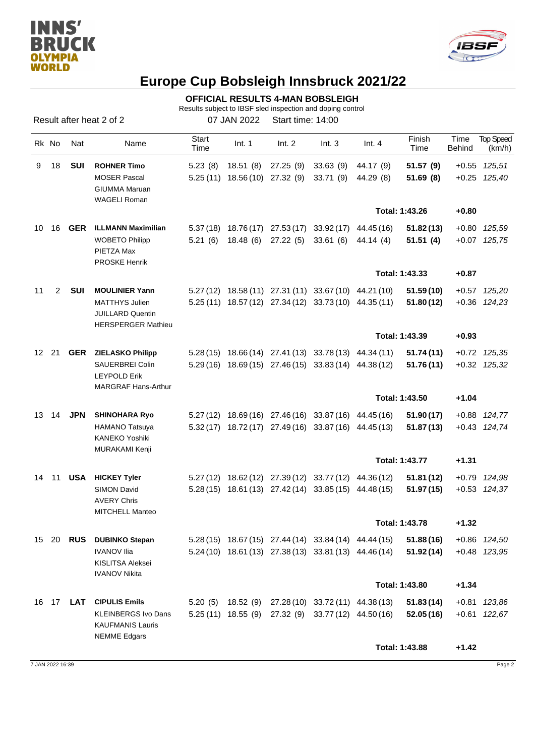



## **Europe Cup Bobsleigh Innsbruck 2021/22**

**OFFICIAL RESULTS 4-MAN BOBSLEIGH**

Results subject to IBSF sled inspection and doping control

Result after heat 2 of 2 07 JAN 2022 Start time: 14:00

|    | Rk No          | Nat              | Name                                                                          | Start<br>Time | Int. 1                            | Int. 2              | Int.3                                                 | Int.4      | Finish<br>Time | Time<br><b>Behind</b> | <b>Top Speed</b><br>(km/h) |
|----|----------------|------------------|-------------------------------------------------------------------------------|---------------|-----------------------------------|---------------------|-------------------------------------------------------|------------|----------------|-----------------------|----------------------------|
| 9  | 18             | SUI              | <b>ROHNER Timo</b>                                                            | 5.23(8)       | 18.51 (8)                         | 27.25 (9)           | 33.63(9)                                              | 44.17 (9)  | 51.57 (9)      |                       | $+0.55$ 125,51             |
|    |                |                  | <b>MOSER Pascal</b><br><b>GIUMMA Maruan</b><br><b>WAGELI Roman</b>            |               | $5.25(11)$ $18.56(10)$ $27.32(9)$ |                     | 33.71(9)                                              | 44.29 (8)  | 51.69(8)       |                       | +0.25 125,40               |
|    |                |                  |                                                                               |               |                                   |                     |                                                       |            | Total: 1:43.26 | $+0.80$               |                            |
|    | 10 16          | <b>GER</b>       | <b>ILLMANN Maximilian</b>                                                     |               |                                   |                     | $5.37(18)$ $18.76(17)$ $27.53(17)$ $33.92(17)$        | 44.45 (16) | 51.82(13)      |                       | +0.80 125,59               |
|    |                |                  | <b>WOBETO Philipp</b><br>PIETZA Max<br><b>PROSKE Henrik</b>                   | 5.21(6)       | 18.48 (6)                         | 27.22 (5) 33.61 (6) |                                                       | 44.14 (4)  | 51.51(4)       |                       | +0.07 125,75               |
|    |                |                  |                                                                               |               |                                   |                     |                                                       |            | Total: 1:43.33 | $+0.87$               |                            |
| 11 | $\overline{2}$ | <b>SUI</b>       | <b>MOULINIER Yann</b>                                                         |               |                                   |                     | 5.27 (12) 18.58 (11) 27.31 (11) 33.67 (10) 44.21 (10) |            | 51.59(10)      |                       | +0.57 125,20               |
|    |                |                  | <b>MATTHYS Julien</b><br><b>JUILLARD Quentin</b><br><b>HERSPERGER Mathieu</b> |               |                                   |                     | 5.25 (11) 18.57 (12) 27.34 (12) 33.73 (10) 44.35 (11) |            | 51.80(12)      |                       | $+0.36$ $124,23$           |
|    |                |                  |                                                                               |               |                                   |                     |                                                       |            | Total: 1:43.39 | $+0.93$               |                            |
|    | 12 21          | GER              | <b>ZIELASKO Philipp</b>                                                       |               |                                   |                     | 5.28 (15) 18.66 (14) 27.41 (13) 33.78 (13) 44.34 (11) |            | 51.74(11)      |                       | +0.72 125,35               |
|    |                |                  | <b>SAUERBREI Colin</b><br><b>LEYPOLD Erik</b><br><b>MARGRAF Hans-Arthur</b>   |               |                                   |                     | 5.29 (16) 18.69 (15) 27.46 (15) 33.83 (14) 44.38 (12) |            | 51.76 (11)     |                       | $+0.32$ $125,32$           |
|    |                |                  |                                                                               |               |                                   |                     |                                                       |            | Total: 1:43.50 | $+1.04$               |                            |
|    | 13 14          | <b>JPN</b>       | <b>SHINOHARA Ryo</b>                                                          |               |                                   |                     | 5.27 (12) 18.69 (16) 27.46 (16) 33.87 (16) 44.45 (16) |            | 51.90(17)      |                       | +0.88 124,77               |
|    |                |                  | <b>HAMANO Tatsuya</b><br>KANEKO Yoshiki<br>MURAKAMI Kenji                     |               |                                   |                     | 5.32 (17) 18.72 (17) 27.49 (16) 33.87 (16) 44.45 (13) |            | 51.87(13)      |                       | +0.43 124,74               |
|    |                |                  |                                                                               |               |                                   |                     |                                                       |            | Total: 1:43.77 | $+1.31$               |                            |
|    | 14 11          | USA              | <b>HICKEY Tyler</b>                                                           |               |                                   |                     | 5.27 (12) 18.62 (12) 27.39 (12) 33.77 (12)            | 44.36 (12) | 51.81(12)      |                       | +0.79 124,98               |
|    |                |                  | <b>SIMON David</b><br><b>AVERY Chris</b><br><b>MITCHELL Manteo</b>            |               |                                   |                     | 5.28 (15) 18.61 (13) 27.42 (14) 33.85 (15) 44.48 (15) |            | 51.97 (15)     |                       | +0.53 124,37               |
|    |                |                  |                                                                               |               |                                   |                     |                                                       |            | Total: 1:43.78 | $+1.32$               |                            |
|    |                | 15 20 <b>RUS</b> | <b>DUBINKO Stepan</b>                                                         |               |                                   |                     | 5.28 (15) 18.67 (15) 27.44 (14) 33.84 (14) 44.44 (15) |            | 51.88(16)      |                       | +0.86 124,50               |
|    |                |                  | <b>IVANOV Ilia</b><br>KISLITSA Aleksei<br><b>IVANOV Nikita</b>                |               |                                   |                     | $5.24(10)$ 18.61(13) 27.38(13) 33.81(13) 44.46(14)    |            | 51.92(14)      |                       | +0.48 123,95               |
|    |                |                  |                                                                               |               |                                   |                     |                                                       |            | Total: 1:43.80 | $+1.34$               |                            |
|    |                | 16 17 <b>LAT</b> | <b>CIPULIS Emils</b>                                                          |               |                                   |                     | 5.20 (5) 18.52 (9) 27.28 (10) 33.72 (11) 44.38 (13)   |            | 51.83(14)      |                       | +0.81 123,86               |
|    |                |                  | <b>KLEINBERGS Ivo Dans</b><br><b>KAUFMANIS Lauris</b><br><b>NEMME Edgars</b>  |               |                                   |                     | 5.25 (11) 18.55 (9) 27.32 (9) 33.77 (12) 44.50 (16)   |            | 52.05(16)      |                       | +0.61 122,67               |
|    |                |                  |                                                                               |               |                                   |                     |                                                       |            | Total: 1:43.88 | $+1.42$               |                            |
|    |                |                  |                                                                               |               |                                   |                     |                                                       |            |                |                       |                            |

7 JAN 2022 16:39 Page 2